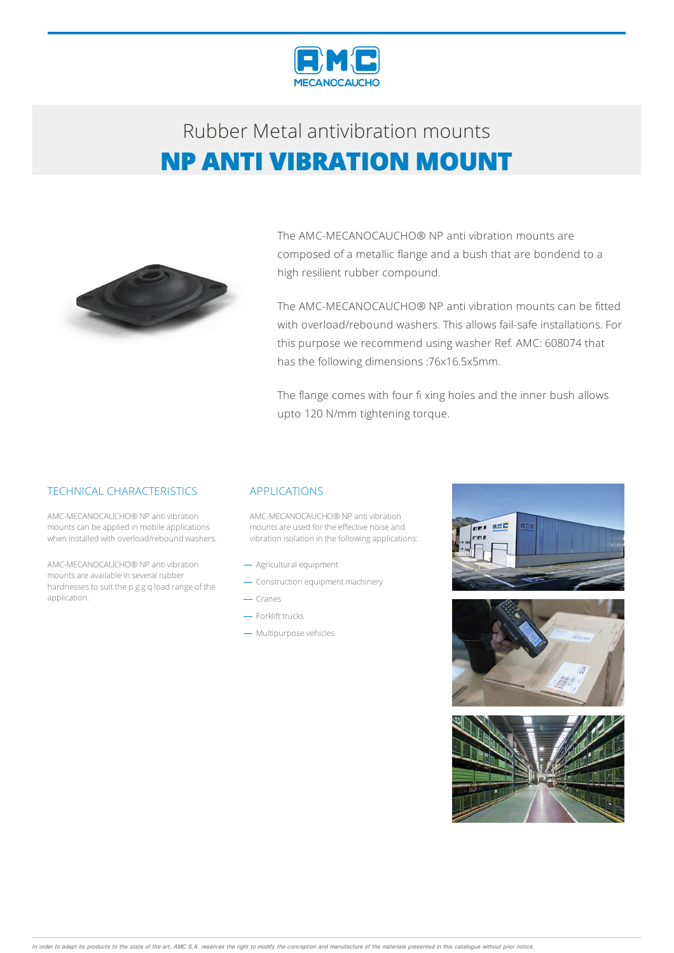

# Rubber Metalantivibration mounts **NP ANTI VIBRATION MOUNT**



The AMC-MECANOCAUCHO® NP anti vibration mounts are composed of a metallic flange and a bush that are bondend to a high resilient rubber compound.

The AMC-MECANOCAUCHO® NP anti vibration mounts can be fitted with overload/rebound washers. This allows fail-safe installations. For this purpose we recommend using washer Ref. AMC: 608074 that has the following dimensions :76x16.5x5mm.

The flange comes with four fi xing holes and the inner bush allows upto 120 N/mm tightening torque.

### TECHNICAL CHARACTERISTICS

AMC-MECANOCAUCHO® NP anti vibration mounts can be applied in mobile applications when installed with overload/rebound washers.

AMC-MECANOCAUCHO® NP anti vibration mountsare available in several rubber hardnesses to suit the p g g q load range of the application.

#### APPLICATIONS

AMC-MECANOCAUCHO® NP anti vibration mounts are used for the effective noise and vibration isolation in the following applications:

- Agricultural equipment
- Construction equipment machinery
- $-$  Cranes
- Forklift trucks
- Multipurpose vehicles



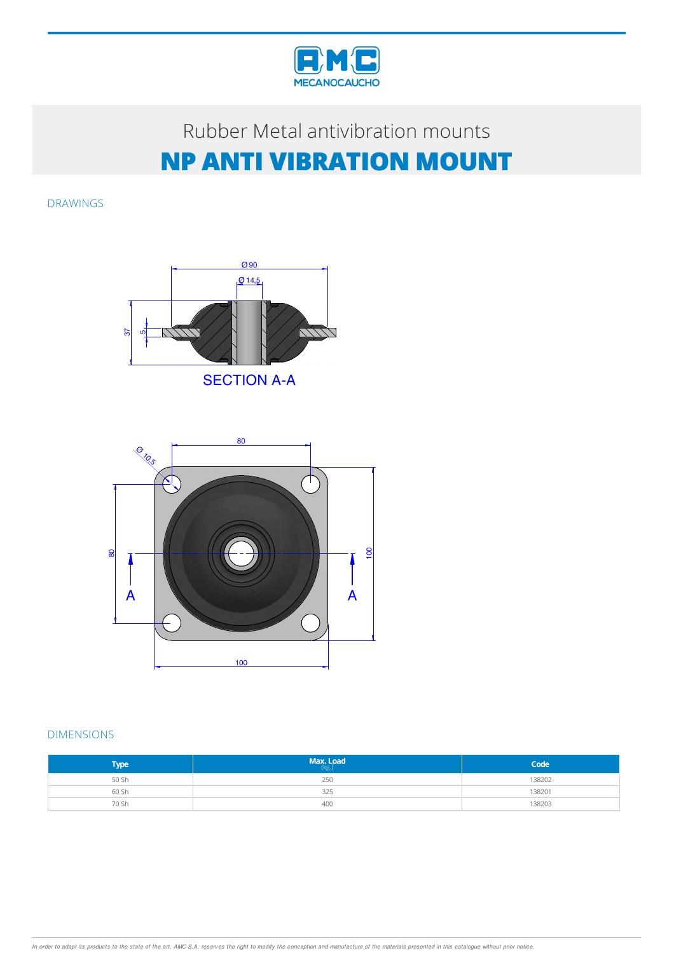

# Rubber Metal antivibration mounts **NP ANTI VIBRATION MOUNT**

DRAWINGS



80 <sup>Ø</sup> 10,5  $\sum_{i=1}^n$  $\uparrow$ 100 នា A **A** A  $\overline{a}$ 100

### DIMENSIONS

| <b>Type</b> | Max. Load<br>(kg) | Code   |
|-------------|-------------------|--------|
| 50 Sh       | 250               | 138202 |
| 60 Sh       | 325               | 138201 |
| 70 Sh       | 400               | 138203 |